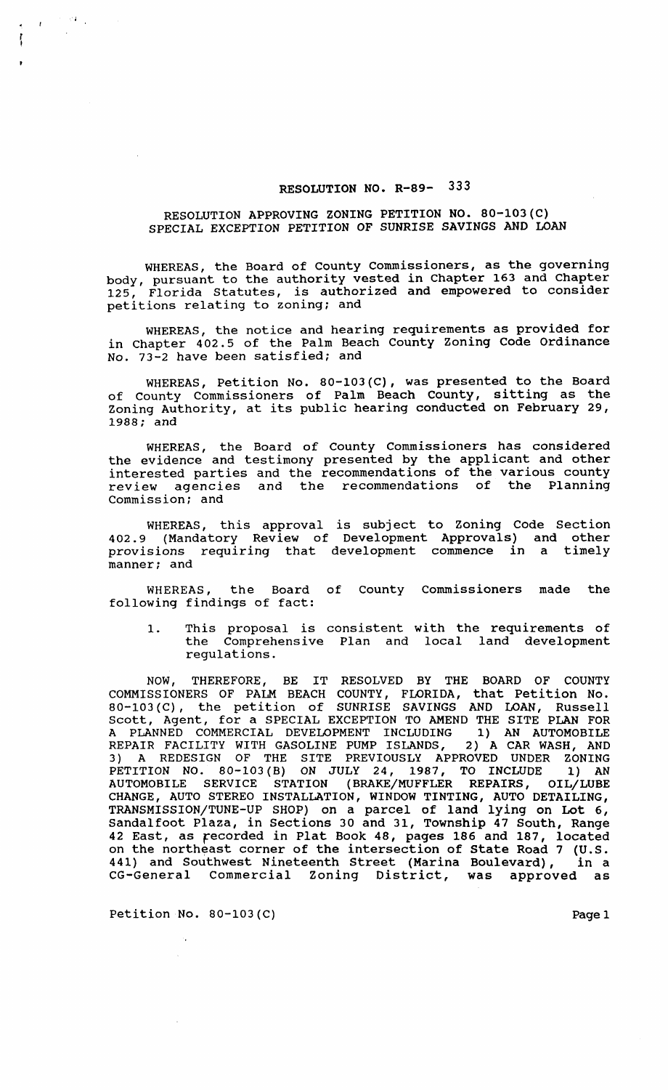## RESOLUTION NO. R-89- 333

## RESOLUTION APPROVING ZONING PETITION NO. 80-103(C) SPECIAL EXCEPTION PETITION OF SUNRISE SAVINGS AND LOAN

WHEREAS, the Board of County commissioners, as the governing body, pursuant to the authority vested in Chapter 163 and Chapter 125, Florida Statutes, is authorized and empowered to consider petitions relating to zoning; and

WHEREAS, the notice and hearing requirements as provided for in Chapter 402.5 of the Palm Beach County zoning Code Ordinance No. 73-2 have been satisfied; and

WHEREAS, Petition No. 80-103(C), was presented to the Board of County Commissioners of Palm Beach County, sitting as the Zoning Authority, at its public hearing conducted on February 29, 1988; and

WHEREAS, the Board of county Commissioners has considered the evidence and testimony presented by the applicant and other interested parties and the recommendations of the various county review agencies and the recommendations of the Planning Commission; and

WHEREAS, this approval is subject to Zoning Code Section 402.9 (Mandatory Review of Development Approvals) and other provisions requiring that development commence in a timely manner; and

WHEREAS, the Board of County Commissioners made the following findings of fact:

1. This proposal is consistent with the requirements of the Comprehensive Plan and local land development regulations.

NOW, THEREFORE, BE IT RESOLVED BY THE BOARD OF COUNTY COMMISSIONERS OF PALM BEACH COUNTY, FLORIDA, that Petition No. 80-103 (C), the petition of SUNRISE SAVINGS AND LOAN, Russell Scott, Agent, for a SPECIAL EXCEPTION TO AMEND THE SITE PLAN FOR A PLANNED COMMERCIAL DEVELOPMENT INCLUDING 1) AN AUTOMOBILE REPAIR FACILITY WITH GASOLINE PUMP ISLANDS, 2) A CAR WASH, AND 3) A REDESIGN OF THE SITE PREVIOUSLY APPROVED UNDER ZONING PETITION NO. 80-103 (B) ON JULY 24, 1987, TO INCLUDE 1) AN AUTOMOBILE SERVICE STATION (BRAKE/MUFFLER REPAIRS, OIL/LUBE CHANGE, AUTO STEREO INSTALLATION, WINDOW TINTING, AUTO DETAILING, TRANSMISSION/TUNE-UP SHOP) on a parcel of land lying on Lot 6, Sandalfoot Plaza, in Sections 30 and 31, Township 47 South, Range 42 East, as recorded in Plat Book 48, pages 186 and 187, located on the northeast corner of the intersection of State Road 7 (U.S. 441) and Southwest Nineteenth Street (Marina Boulevard), in a CG-General Commercial Zoning District, was approved as

Petition No. 80-103(C) Page 1

 $\label{eq:2.1} \frac{1}{\sqrt{2}}\left(1-\frac{1}{\sqrt{2}}\right)^{1/2}\frac{d^2\mathbf{1}}{d\mathbf{1}}\frac{d\mathbf{1}}{d\mathbf{1}}\,.$ 

 $\overline{I}$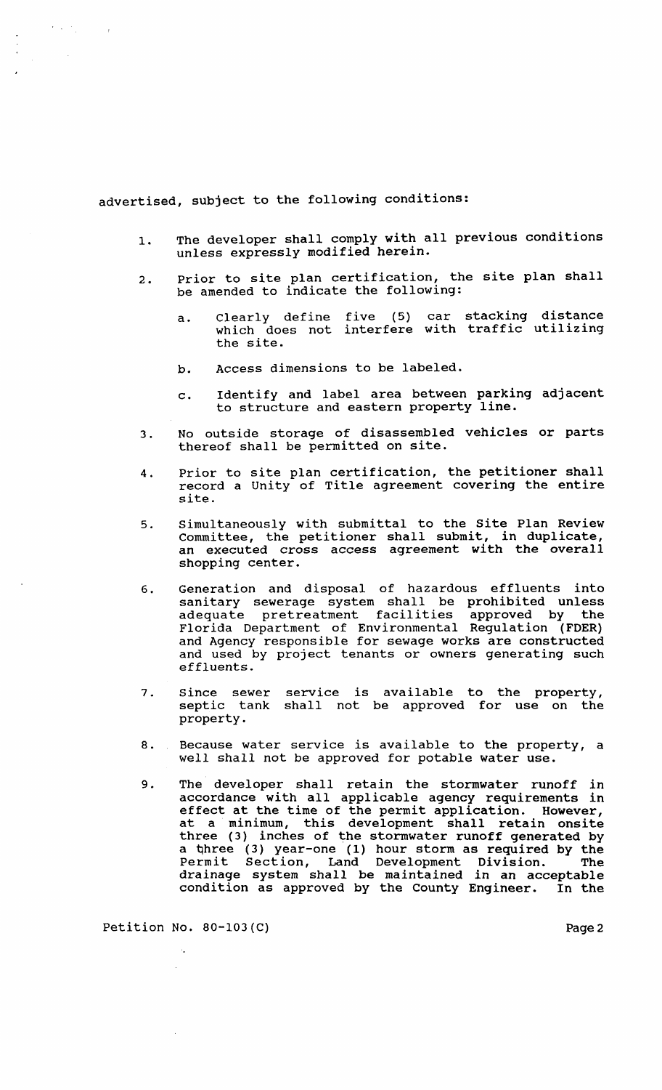advertised, subject to the following conditions:

 $\Delta \sim 10^4$ 

 $\sim 10$ 

- 1. The developer shall comply with all previous conditions unless expressly modified herein.
- 2. Prior to site plan certification, the site plan shall be amended to indicate the following:
	- a. Clearly define five (5) car stacking distance which does not interfere with traffic utilizing the site.
	- b. Access dimensions to be labeled.
	- c. Identify and label area between parking adjacent to structure and eastern property line.
- 3. No outside storage of disassembled vehicles or parts thereof shall be permitted on site.
- 4. Prior to site plan certification, the petitioner shall record a unity of Title agreement covering the entire site.
- 5. simultaneously with submittal to the site Plan Review Committee, the petitioner shall submit, in duplicate, an executed cross access agreement with the overall shopping center.
- 6. Generation and disposal of hazardous effluents into sanitary sewerage system shall be prohibited unless sanitary Sewerage System Sharr be pronibited anices Florida Department of Environmental Regulation (FDER) and Agency responsible for sewage works are constructed and used by project tenants or owners generating such effluents.
- 7. since sewer septic tank property. service is available to the property, shall not be approved for use on the
- 8. Because water service is available to the property, a well shall not be approved for potable water use.
- 9. The developer shall retain the stormwater runoff in accordance with all applicable agency requirements in effect at the time of the permit application. However, at a minimum, this development shall retain onsite three (3) inches of the stormwater runoff generated by a three (3) year-one (1) hour storm as required by the Permit section, Land Development Division. The drainage system shall be maintained in an acceptable condition as approved by the County Engineer. In the

Petition No. 80-103(C) Page 2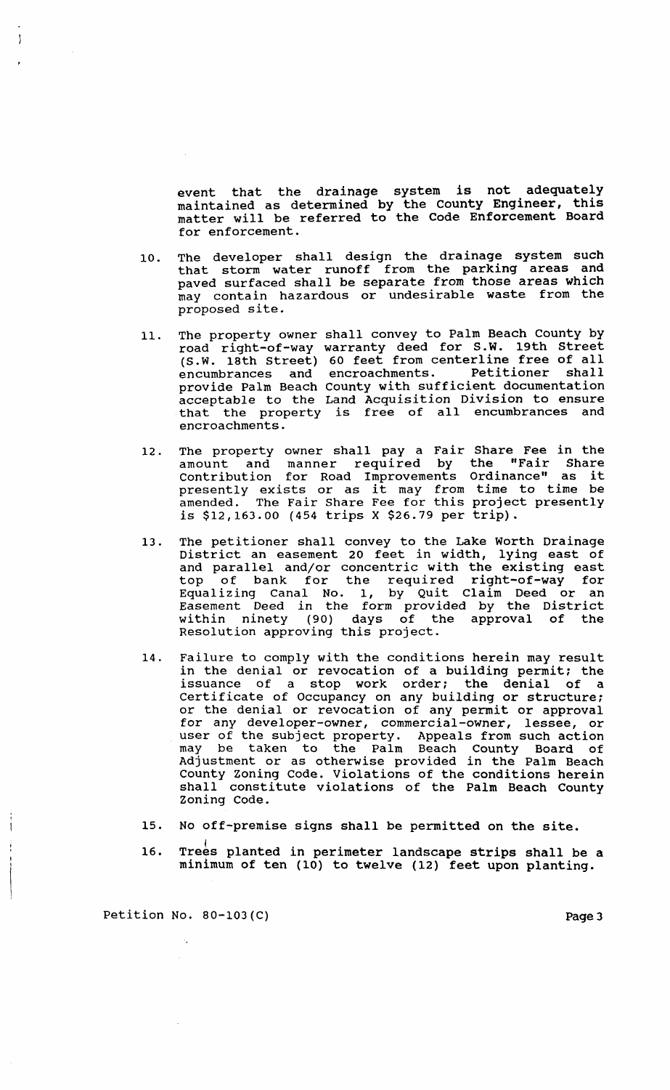event that the drainage system is not adequately maintained as determined by the County Engineer, this matter will be referred to the Code Enforcement Board for enforcement.

- 10. The developer shall design the drainage system such that storm water runoff from the parking areas and paved surfaced shall be separate from those areas which may contain hazardous or undesirable waste from the proposed site.
- 11. The property owner shall convey to Palm Beach county by road right-of-way warranty deed for S. W. 19th street (S.W. 18th Street) 60 feet from centerline free of all encumbrances and encroachments. Petitioner shall provide Palm Beach County with sufficient documentation acceptable to the Land Acquisition Division to ensure that the property is free of all encumbrances and encroachments.
- 12. The property owner shall pay a Fair Share Fee in the amount and manner required by the "Fair Share contribution for Road Improvements Ordinance" as it presently exists or as it may from time to time be amended. The Fair Share Fee for this project presently is \$12,163.00 (454 trips X \$26.79 per trip).
- 13. The petitioner shall convey to the Lake Worth Drainage District an easement 20 feet in width, lying east of and parallel and/or concentric with the existing east top of bank for the required right-of-way for Equalizing Canal No. 1, by Quit Claim Deed or an Easement Deed in the form provided by the District within ninety (90) days of the approval of the Resolution approving this project.
- 14. Failure to comply with the conditions herein may result in the denial or revocation of a building permit; the issuance of a stop work order; the denial of a Certificate of Occupancy on any building or structure; or the denial or revocation of any permit or approval for any developer-owner, commercial-owner, lessee, or user of the subject property. Appeals from such action may be taken to the Palm Beach County Board of Adjustment or as otherwise provided in the Palm Beach County Zoning Code. Violations of the conditions herein shall constitute violations of the Palm Beach County Zoning Code.
- 15. No off-premise signs shall be permitted on the site.
- 16. Trees planted in perimeter landscape strips shall be a minimum of ten (10) to twelve (12) feet upon planting.

Petition No. 80-103(C) Page 3

 $\mathbf{I}$ 

 $\mathbf{i}$ 

 $\frac{1}{2}$